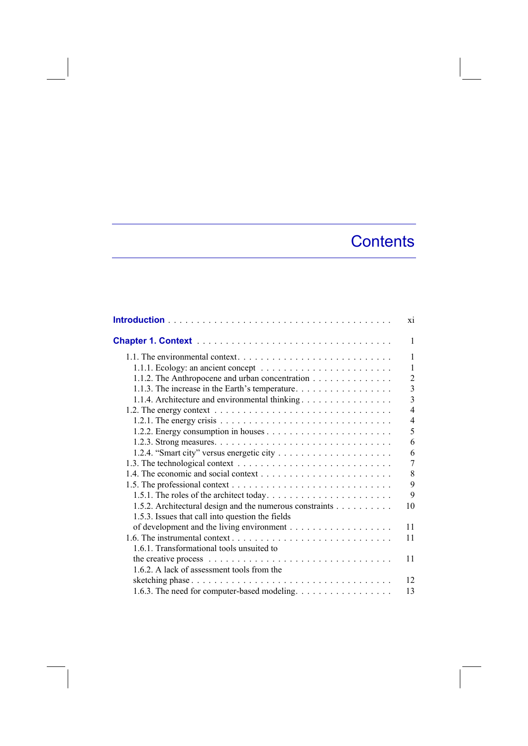## **Contents**

|                                                                                                         | X1             |
|---------------------------------------------------------------------------------------------------------|----------------|
|                                                                                                         | 1              |
|                                                                                                         | 1              |
| 1.1.1. Ecology: an ancient concept $\ldots \ldots \ldots \ldots \ldots \ldots \ldots$                   | 1              |
| 1.1.2. The Anthropocene and urban concentration                                                         | $\overline{2}$ |
| 1.1.3. The increase in the Earth's temperature.                                                         | $\overline{3}$ |
| 1.1.4. Architecture and environmental thinking                                                          | 3              |
| 1.2. The energy context $\dots \dots \dots \dots \dots \dots \dots \dots \dots \dots \dots \dots \dots$ | $\overline{4}$ |
|                                                                                                         | 4              |
|                                                                                                         | 5              |
|                                                                                                         | 6              |
|                                                                                                         | 6              |
|                                                                                                         | 7              |
|                                                                                                         | 8              |
|                                                                                                         | 9              |
|                                                                                                         | 9              |
| 1.5.2. Architectural design and the numerous constraints                                                | 10             |
| 1.5.3. Issues that call into question the fields                                                        |                |
|                                                                                                         | 11             |
|                                                                                                         | 11             |
| 1.6.1. Transformational tools unsuited to                                                               |                |
| the creative process $\ldots \ldots \ldots \ldots \ldots \ldots \ldots \ldots \ldots \ldots \ldots$     | 11             |
| 1.6.2. A lack of assessment tools from the                                                              |                |
| sketching phase $\ldots \ldots \ldots \ldots \ldots \ldots \ldots \ldots \ldots \ldots \ldots$          | 12             |
| 1.6.3. The need for computer-based modeling.                                                            | 13             |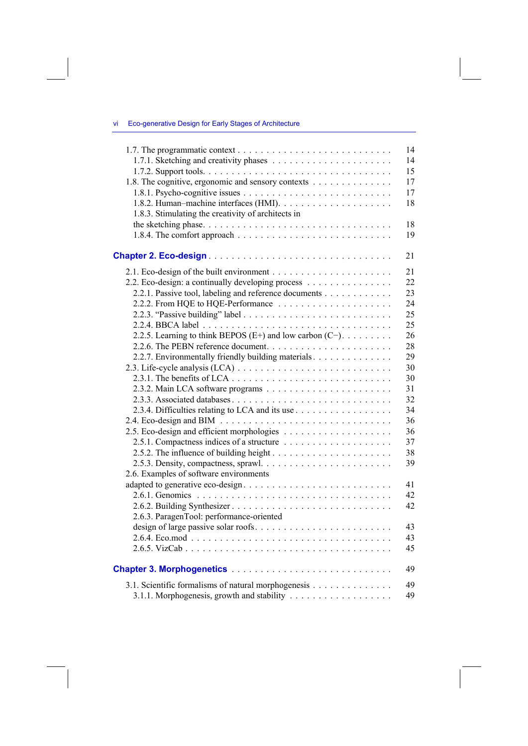|  | - Vİ |  |  | Eco-generative Design for Early Stages of Architecture |
|--|------|--|--|--------------------------------------------------------|
|--|------|--|--|--------------------------------------------------------|

|                                                          | 14 |
|----------------------------------------------------------|----|
|                                                          | 14 |
|                                                          | 15 |
| 1.8. The cognitive, ergonomic and sensory contexts       | 17 |
|                                                          | 17 |
|                                                          | 18 |
| 1.8.3. Stimulating the creativity of architects in       |    |
|                                                          | 18 |
|                                                          | 19 |
|                                                          | 21 |
|                                                          | 21 |
| 2.2. Eco-design: a continually developing process        | 22 |
| 2.2.1. Passive tool, labeling and reference documents    | 23 |
|                                                          | 24 |
|                                                          | 25 |
|                                                          | 25 |
| 2.2.5. Learning to think BEPOS (E+) and low carbon (C-). | 26 |
|                                                          | 28 |
| 2.2.7. Environmentally friendly building materials       | 29 |
|                                                          | 30 |
|                                                          | 30 |
|                                                          | 31 |
|                                                          | 32 |
|                                                          | 34 |
|                                                          | 36 |
|                                                          | 36 |
|                                                          | 37 |
|                                                          | 38 |
|                                                          | 39 |
| 2.6. Examples of software environments                   |    |
|                                                          | 41 |
|                                                          | 42 |
|                                                          | 42 |
| 2.6.3. ParagenTool: performance-oriented                 |    |
| design of large passive solar roofs                      | 43 |
|                                                          | 43 |
|                                                          | 45 |
|                                                          | 49 |
| 3.1. Scientific formalisms of natural morphogenesis      | 49 |
|                                                          | 49 |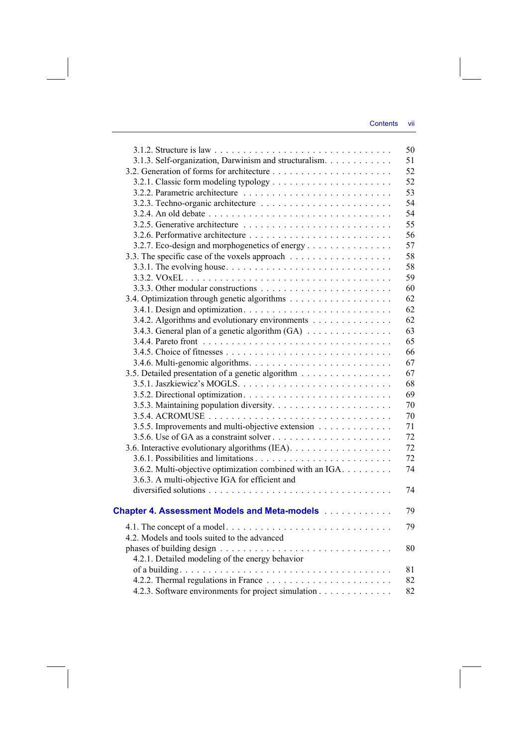|                                                                                                | 50 |
|------------------------------------------------------------------------------------------------|----|
| 3.1.3. Self-organization, Darwinism and structuralism.                                         | 51 |
|                                                                                                | 52 |
|                                                                                                | 52 |
|                                                                                                | 53 |
|                                                                                                | 54 |
|                                                                                                | 54 |
|                                                                                                | 55 |
|                                                                                                | 56 |
| 3.2.7. Eco-design and morphogenetics of energy                                                 | 57 |
|                                                                                                | 58 |
| 3.3.1. The evolving house. $\dots \dots \dots \dots \dots \dots \dots \dots \dots \dots \dots$ | 58 |
|                                                                                                | 59 |
|                                                                                                | 60 |
|                                                                                                | 62 |
|                                                                                                | 62 |
| 3.4.2. Algorithms and evolutionary environments                                                | 62 |
| 3.4.3. General plan of a genetic algorithm (GA)                                                | 63 |
|                                                                                                | 65 |
|                                                                                                | 66 |
|                                                                                                | 67 |
| 3.5. Detailed presentation of a genetic algorithm                                              | 67 |
|                                                                                                | 68 |
|                                                                                                | 69 |
|                                                                                                | 70 |
|                                                                                                | 70 |
| 3.5.5. Improvements and multi-objective extension                                              | 71 |
|                                                                                                | 72 |
|                                                                                                | 72 |
|                                                                                                | 72 |
| 3.6.2. Multi-objective optimization combined with an IGA.                                      | 74 |
| 3.6.3. A multi-objective IGA for efficient and                                                 |    |
|                                                                                                | 74 |
|                                                                                                |    |
| <b>Chapter 4. Assessment Models and Meta-models [1] Algebra</b>                                | 79 |
|                                                                                                | 79 |
| 4.2. Models and tools suited to the advanced                                                   |    |
|                                                                                                | 80 |
| 4.2.1. Detailed modeling of the energy behavior                                                |    |
|                                                                                                | 81 |
|                                                                                                | 82 |
| 4.2.3. Software environments for project simulation                                            | 82 |
|                                                                                                |    |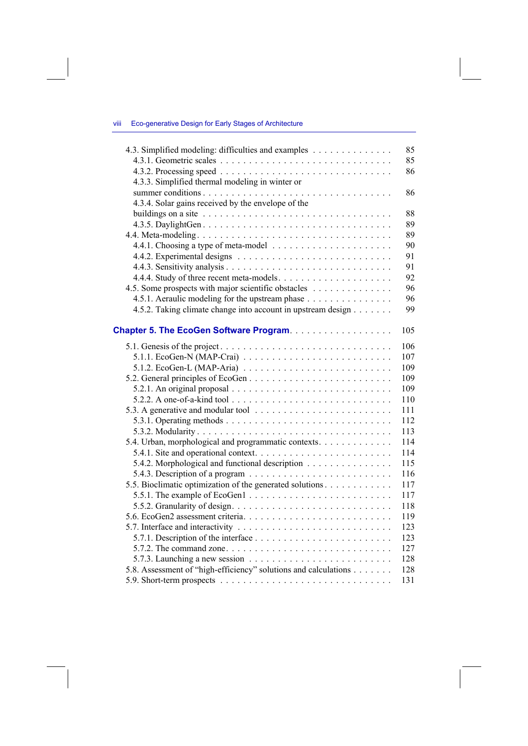## viii Eco-generative Design for Early Stages of Architecture

|                                                    | 4.3. Simplified modeling: difficulties and examples<br>85                                   |  |
|----------------------------------------------------|---------------------------------------------------------------------------------------------|--|
|                                                    | 85                                                                                          |  |
|                                                    | 86                                                                                          |  |
| 4.3.3. Simplified thermal modeling in winter or    |                                                                                             |  |
|                                                    | 86                                                                                          |  |
| 4.3.4. Solar gains received by the envelope of the |                                                                                             |  |
|                                                    | 88                                                                                          |  |
|                                                    | 89                                                                                          |  |
|                                                    | 89                                                                                          |  |
|                                                    | 90                                                                                          |  |
|                                                    | 91                                                                                          |  |
|                                                    | 91                                                                                          |  |
|                                                    | 92                                                                                          |  |
|                                                    | 4.5. Some prospects with major scientific obstacles<br>96                                   |  |
|                                                    | 4.5.1. Aeraulic modeling for the upstream phase<br>96                                       |  |
|                                                    | 4.5.2. Taking climate change into account in upstream design<br>99                          |  |
|                                                    |                                                                                             |  |
|                                                    | Chapter 5. The EcoGen Software Program.<br>105                                              |  |
|                                                    | 106                                                                                         |  |
|                                                    | 5.1.1. EcoGen-N (MAP-Crai) $\ldots \ldots \ldots \ldots \ldots \ldots \ldots \ldots$<br>107 |  |
|                                                    | 5.1.2. EcoGen-L (MAP-Aria) $\ldots \ldots \ldots \ldots \ldots \ldots \ldots \ldots$<br>109 |  |
|                                                    | 109                                                                                         |  |
|                                                    | 109                                                                                         |  |
|                                                    | 110                                                                                         |  |
|                                                    | 111                                                                                         |  |
|                                                    | 112                                                                                         |  |
|                                                    | 113                                                                                         |  |
|                                                    | 5.4. Urban, morphological and programmatic contexts.<br>114                                 |  |
|                                                    | 114                                                                                         |  |
|                                                    | 5.4.2. Morphological and functional description<br>115                                      |  |
|                                                    | 116                                                                                         |  |
|                                                    | 5.5. Bioclimatic optimization of the generated solutions<br>117                             |  |
|                                                    | 117                                                                                         |  |
|                                                    | 118                                                                                         |  |
|                                                    | 119                                                                                         |  |
|                                                    | 123                                                                                         |  |
|                                                    | 123                                                                                         |  |
|                                                    | 127                                                                                         |  |
|                                                    | 128                                                                                         |  |
|                                                    | 5.8. Assessment of "high-efficiency" solutions and calculations<br>128                      |  |
|                                                    | 131                                                                                         |  |
|                                                    |                                                                                             |  |